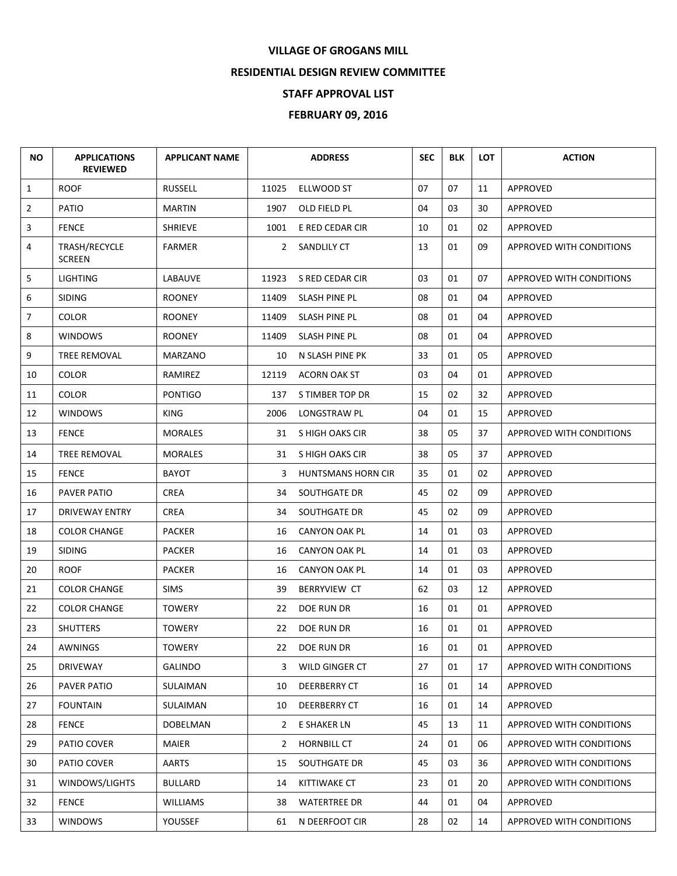## **VILLAGE OF GROGANS MILL**

## **RESIDENTIAL DESIGN REVIEW COMMITTEE**

## **STAFF APPROVAL LIST**

## **FEBRUARY 09, 2016**

| ΝO             | <b>APPLICATIONS</b><br><b>REVIEWED</b> | <b>APPLICANT NAME</b> |              | <b>ADDRESS</b>            | <b>SEC</b> | <b>BLK</b> | <b>LOT</b> | <b>ACTION</b>                   |
|----------------|----------------------------------------|-----------------------|--------------|---------------------------|------------|------------|------------|---------------------------------|
| $\mathbf{1}$   | <b>ROOF</b>                            | <b>RUSSELL</b>        | 11025        | ELLWOOD ST                | 07         | 07         | 11         | APPROVED                        |
| $\overline{2}$ | PATIO                                  | <b>MARTIN</b>         | 1907         | OLD FIELD PL              | 04         | 03         | 30         | APPROVED                        |
| 3              | <b>FENCE</b>                           | <b>SHRIEVE</b>        | 1001         | E RED CEDAR CIR           | 10         | 01         | 02         | APPROVED                        |
| 4              | TRASH/RECYCLE<br><b>SCREEN</b>         | <b>FARMER</b>         | $\mathbf{2}$ | SANDLILY CT               | 13         | 01         | 09         | APPROVED WITH CONDITIONS        |
| 5              | <b>LIGHTING</b>                        | LABAUVE               | 11923        | S RED CEDAR CIR           | 03         | 01         | 07         | APPROVED WITH CONDITIONS        |
| 6              | <b>SIDING</b>                          | <b>ROONEY</b>         | 11409        | SLASH PINE PL             | 08         | 01         | 04         | APPROVED                        |
| $\overline{7}$ | <b>COLOR</b>                           | <b>ROONEY</b>         | 11409        | SLASH PINE PL             | 08         | 01         | 04         | APPROVED                        |
| 8              | <b>WINDOWS</b>                         | <b>ROONEY</b>         | 11409        | SLASH PINE PL             | 08         | 01         | 04         | APPROVED                        |
| 9              | TREE REMOVAL                           | <b>MARZANO</b>        | 10           | N SLASH PINE PK           | 33         | 01         | 05         | APPROVED                        |
| 10             | <b>COLOR</b>                           | RAMIREZ               | 12119        | <b>ACORN OAK ST</b>       | 03         | 04         | 01         | APPROVED                        |
| 11             | <b>COLOR</b>                           | <b>PONTIGO</b>        | 137          | S TIMBER TOP DR           | 15         | 02         | 32         | APPROVED                        |
| 12             | <b>WINDOWS</b>                         | <b>KING</b>           | 2006         | LONGSTRAW PL              | 04         | 01         | 15         | APPROVED                        |
| 13             | <b>FENCE</b>                           | <b>MORALES</b>        | 31           | S HIGH OAKS CIR           | 38         | 05         | 37         | APPROVED WITH CONDITIONS        |
| 14             | TREE REMOVAL                           | <b>MORALES</b>        | 31           | S HIGH OAKS CIR           | 38         | 05         | 37         | <b>APPROVED</b>                 |
| 15             | <b>FENCE</b>                           | <b>BAYOT</b>          | 3            | <b>HUNTSMANS HORN CIR</b> | 35         | 01         | 02         | APPROVED                        |
| 16             | PAVER PATIO                            | <b>CREA</b>           | 34           | SOUTHGATE DR              | 45         | 02         | 09         | APPROVED                        |
| 17             | DRIVEWAY ENTRY                         | <b>CREA</b>           | 34           | SOUTHGATE DR              | 45         | 02         | 09         | APPROVED                        |
| 18             | <b>COLOR CHANGE</b>                    | <b>PACKER</b>         | 16           | <b>CANYON OAK PL</b>      | 14         | 01         | 03         | APPROVED                        |
| 19             | <b>SIDING</b>                          | <b>PACKER</b>         | 16           | CANYON OAK PL             | 14         | 01         | 03         | APPROVED                        |
| 20             | <b>ROOF</b>                            | <b>PACKER</b>         | 16           | <b>CANYON OAK PL</b>      | 14         | 01         | 03         | APPROVED                        |
| 21             | <b>COLOR CHANGE</b>                    | <b>SIMS</b>           | 39           | <b>BERRYVIEW CT</b>       | 62         | 03         | 12         | APPROVED                        |
| 22             | <b>COLOR CHANGE</b>                    | <b>TOWERY</b>         | 22           | DOE RUN DR                | 16         | 01         | 01         | APPROVED                        |
| 23             | <b>SHUTTERS</b>                        | <b>TOWERY</b>         | 22           | DOE RUN DR                | 16         | 01         | 01         | APPROVED                        |
| 24             | AWNINGS                                | <b>TOWERY</b>         | 22           | DOE RUN DR                | 16         | 01         | 01         | APPROVED                        |
| 25             | DRIVEWAY                               | <b>GALINDO</b>        | 3            | WILD GINGER CT            | 27         | 01         | 17         | <b>APPROVED WITH CONDITIONS</b> |
| 26             | PAVER PATIO                            | SULAIMAN              | 10           | <b>DEERBERRY CT</b>       | 16         | 01         | 14         | APPROVED                        |
| 27             | <b>FOUNTAIN</b>                        | SULAIMAN              | 10           | DEERBERRY CT              | 16         | 01         | 14         | APPROVED                        |
| 28             | <b>FENCE</b>                           | <b>DOBELMAN</b>       | $\mathbf{2}$ | E SHAKER LN               | 45         | 13         | 11         | <b>APPROVED WITH CONDITIONS</b> |
| 29             | PATIO COVER                            | <b>MAIER</b>          | 2            | <b>HORNBILL CT</b>        | 24         | 01         | 06         | APPROVED WITH CONDITIONS        |
| 30             | PATIO COVER                            | AARTS                 | 15           | SOUTHGATE DR              | 45         | 03         | 36         | APPROVED WITH CONDITIONS        |
| 31             | WINDOWS/LIGHTS                         | <b>BULLARD</b>        | 14           | <b>KITTIWAKE CT</b>       | 23         | 01         | 20         | APPROVED WITH CONDITIONS        |
| 32             | <b>FENCE</b>                           | <b>WILLIAMS</b>       | 38           | <b>WATERTREE DR</b>       | 44         | 01         | 04         | APPROVED                        |
| 33             | <b>WINDOWS</b>                         | YOUSSEF               | 61           | N DEERFOOT CIR            | 28         | 02         | 14         | APPROVED WITH CONDITIONS        |